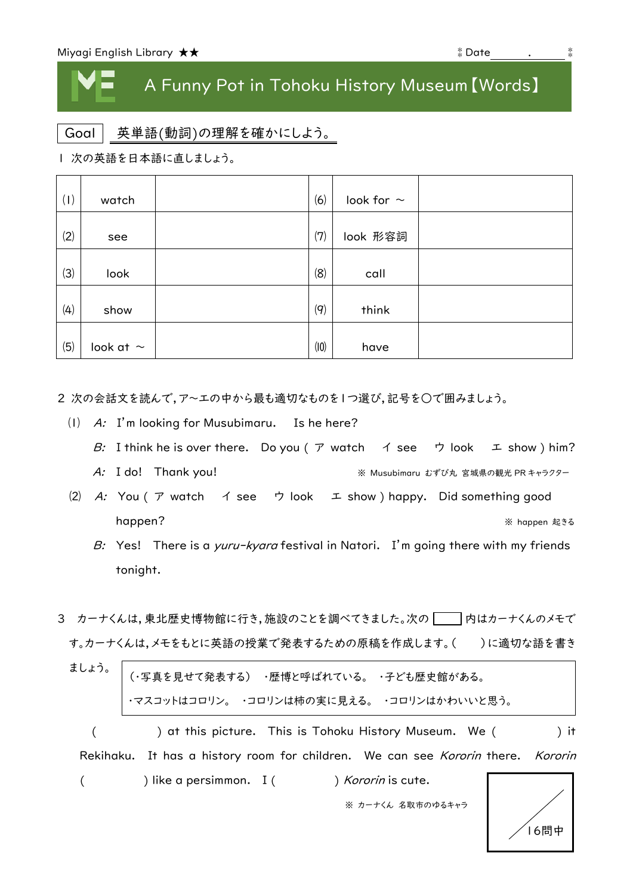## A Funny Pot in Tohoku History Museum【Words】

Goal 英単語(動詞)の理解を確かにしよう。

| 次の英語を日本語に直しましょう。

| (1) | watch          | (6)  | look for $\sim$ |  |
|-----|----------------|------|-----------------|--|
| (2) | see            | (7)  | look 形容詞        |  |
| (3) | look           | (8)  | call            |  |
| (4) | show           | (9)  | think           |  |
| (5) | look at $\sim$ | (10) | have            |  |

2 次の会話文を読んで,ア~エの中から最も適切なものを1つ選び,記号を○で囲みましょう。

- ⑴ A: I'm looking for Musubimaru. Is he here?
	- B: I think he is over there. Do you (  $\triangledown$  watch  $\preceq$  see  $\triangledown$  look  $\perp$  show ) him?
	- A: I do! Thank you! <br>※ Musubimaru むずび丸 宮城県の観光 PR キャラクター
- (2) A: You (  $\mathcal T$  watch  $\preceq$  see  $\preceq$  look  $\preceq$  show ) happy. Did something good happen? ※ happen 起きる
	- B: Yes! There is a *yuru-kyara* festival in Natori. I'm going there with my friends tonight.
- 3 カーナくんは,東北歴史博物館に行き,施設のことを調べてきました。次の つ 内はカーナくんのメモで す。カーナくんは,メモをもとに英語の授業で発表するための原稿を作成します。()に適切な語を書き

| │ ・マスコットはコロリン。 ・コロリンは柿の実に見える。 ・コロリンはかわいいと思う。                                    |      |
|---------------------------------------------------------------------------------|------|
| ) at this picture. This is Tohoku History Museum. We (                          | ) it |
| Rekihaku. It has a history room for children. We can see Kororin there. Kororin |      |

(
) like a persimmon. I (
) Kororin is cute.

※ カーナくん 名取市のゆるキャラ